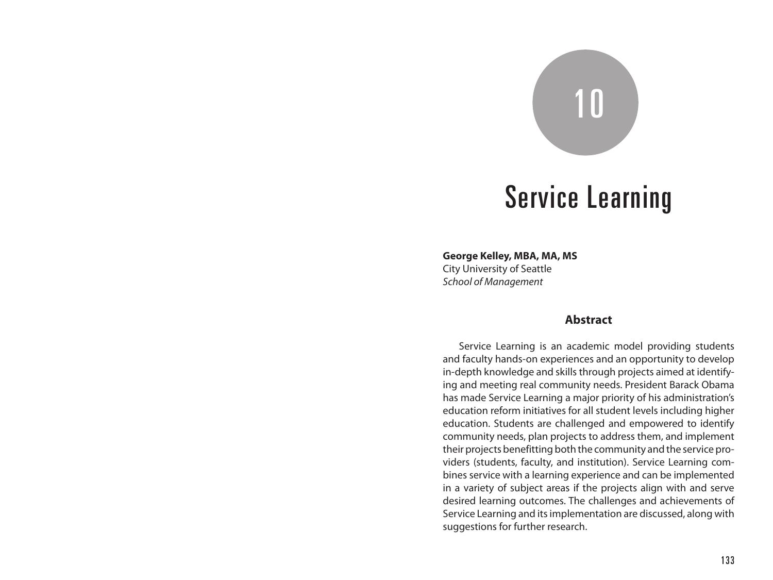# 10

## Service Learning

**George Kelley, MBA, MA, MS** City University of Seattle *School of Management*

#### **Abstract**

Service Learning is an academic model providing students and faculty hands-on experiences and an opportunity to develop in-depth knowledge and skills through projects aimed at identifying and meeting real community needs. President Barack Obama has made Service Learning a major priority of his administration's education reform initiatives for all student levels including higher education. Students are challenged and empowered to identify community needs, plan projects to address them, and implement their projects benefitting both the community and the service providers (students, faculty, and institution). Service Learning combines service with a learning experience and can be implemented in a variety of subject areas if the projects align with and serve desired learning outcomes. The challenges and achievements of Service Learning and its implementation are discussed, along with suggestions for further research.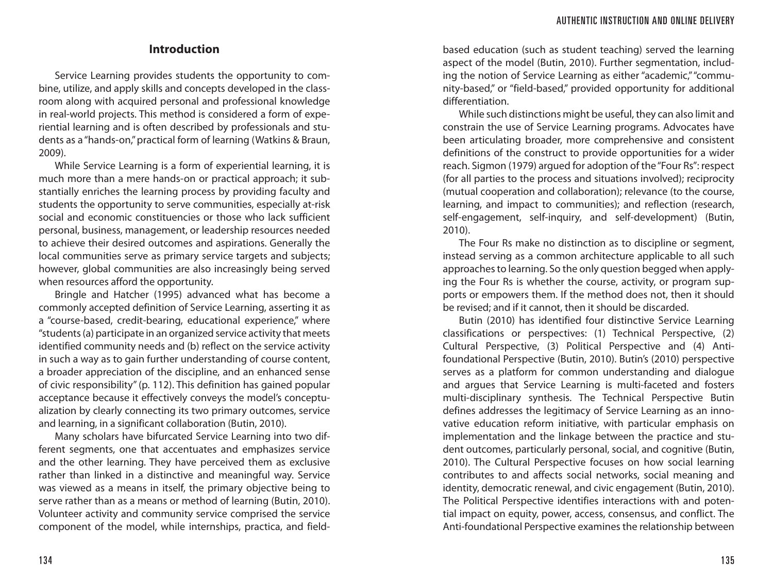#### **Introduction**

Service Learning provides students the opportunity to combine, utilize, and apply skills and concepts developed in the classroom along with acquired personal and professional knowledge in real-world projects. This method is considered a form of experiential learning and is often described by professionals and students as a "hands-on," practical form of learning (Watkins & Braun, 2009).

While Service Learning is a form of experiential learning, it is much more than a mere hands-on or practical approach; it substantially enriches the learning process by providing faculty and students the opportunity to serve communities, especially at-risk social and economic constituencies or those who lack sufficient personal, business, management, or leadership resources needed to achieve their desired outcomes and aspirations. Generally the local communities serve as primary service targets and subjects; however, global communities are also increasingly being served when resources afford the opportunity.

Bringle and Hatcher (1995) advanced what has become a commonly accepted definition of Service Learning, asserting it as a "course-based, credit-bearing, educational experience," where "students (a) participate in an organized service activity that meets identified community needs and (b) reflect on the service activity in such a way as to gain further understanding of course content, a broader appreciation of the discipline, and an enhanced sense of civic responsibility" (p. 112). This definition has gained popular acceptance because it effectively conveys the model's conceptualization by clearly connecting its two primary outcomes, service and learning, in a significant collaboration (Butin, 2010).

Many scholars have bifurcated Service Learning into two different segments, one that accentuates and emphasizes service and the other learning. They have perceived them as exclusive rather than linked in a distinctive and meaningful way. Service was viewed as a means in itself, the primary objective being to serve rather than as a means or method of learning (Butin, 2010). Volunteer activity and community service comprised the service component of the model, while internships, practica, and field-

based education (such as student teaching) served the learning aspect of the model (Butin, 2010). Further segmentation, including the notion of Service Learning as either "academic," "community-based," or "field-based," provided opportunity for additional differentiation.

While such distinctions might be useful, they can also limit and constrain the use of Service Learning programs. Advocates have been articulating broader, more comprehensive and consistent definitions of the construct to provide opportunities for a wider reach. Sigmon (1979) argued for adoption of the "Four Rs": respect (for all parties to the process and situations involved); reciprocity (mutual cooperation and collaboration); relevance (to the course, learning, and impact to communities); and reflection (research, self-engagement, self-inquiry, and self-development) (Butin, 2010).

The Four Rs make no distinction as to discipline or segment, instead serving as a common architecture applicable to all such approaches to learning. So the only question begged when applying the Four Rs is whether the course, activity, or program supports or empowers them. If the method does not, then it should be revised; and if it cannot, then it should be discarded.

Butin (2010) has identified four distinctive Service Learning classifications or perspectives: (1) Technical Perspective, (2) Cultural Perspective, (3) Political Perspective and (4) Antifoundational Perspective (Butin, 2010). Butin's (2010) perspective serves as a platform for common understanding and dialogue and argues that Service Learning is multi-faceted and fosters multi-disciplinary synthesis. The Technical Perspective Butin defines addresses the legitimacy of Service Learning as an innovative education reform initiative, with particular emphasis on implementation and the linkage between the practice and student outcomes, particularly personal, social, and cognitive (Butin, 2010). The Cultural Perspective focuses on how social learning contributes to and affects social networks, social meaning and identity, democratic renewal, and civic engagement (Butin, 2010). The Political Perspective identifies interactions with and potential impact on equity, power, access, consensus, and conflict. The Anti-foundational Perspective examines the relationship between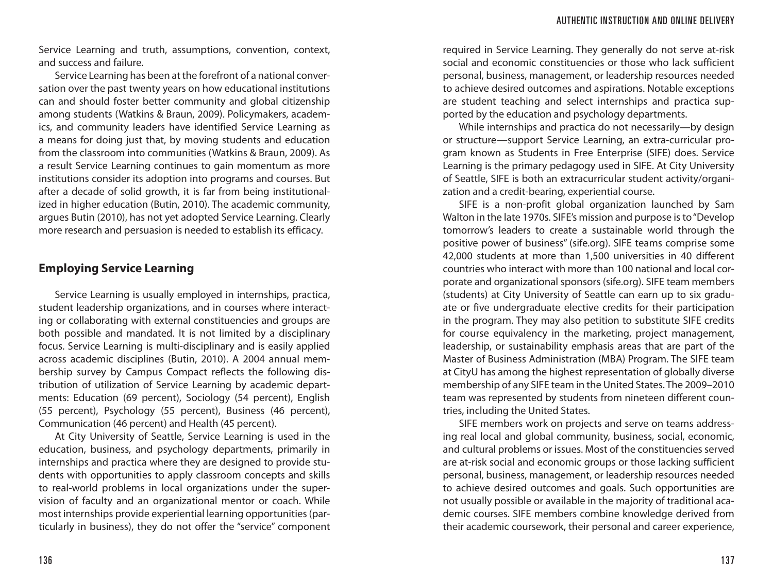Service Learning and truth, assumptions, convention, context, and success and failure.

Service Learning has been at the forefront of a national conversation over the past twenty years on how educational institutions can and should foster better community and global citizenship among students (Watkins & Braun, 2009). Policymakers, academics, and community leaders have identified Service Learning as a means for doing just that, by moving students and education from the classroom into communities (Watkins & Braun, 2009). As a result Service Learning continues to gain momentum as more institutions consider its adoption into programs and courses. But after a decade of solid growth, it is far from being institutionalized in higher education (Butin, 2010). The academic community, argues Butin (2010), has not yet adopted Service Learning. Clearly more research and persuasion is needed to establish its efficacy.

### **Employing Service Learning**

Service Learning is usually employed in internships, practica, student leadership organizations, and in courses where interacting or collaborating with external constituencies and groups are both possible and mandated. It is not limited by a disciplinary focus. Service Learning is multi-disciplinary and is easily applied across academic disciplines (Butin, 2010). A 2004 annual membership survey by Campus Compact reflects the following distribution of utilization of Service Learning by academic departments: Education (69 percent), Sociology (54 percent), English (55 percent), Psychology (55 percent), Business (46 percent), Communication (46 percent) and Health (45 percent).

At City University of Seattle, Service Learning is used in the education, business, and psychology departments, primarily in internships and practica where they are designed to provide students with opportunities to apply classroom concepts and skills to real-world problems in local organizations under the supervision of faculty and an organizational mentor or coach. While most internships provide experiential learning opportunities (particularly in business), they do not offer the "service" component

required in Service Learning. They generally do not serve at-risk social and economic constituencies or those who lack sufficient personal, business, management, or leadership resources needed to achieve desired outcomes and aspirations. Notable exceptions are student teaching and select internships and practica supported by the education and psychology departments.

While internships and practica do not necessarily—by design or structure—support Service Learning, an extra-curricular program known as Students in Free Enterprise (SIFE) does. Service Learning is the primary pedagogy used in SIFE. At City University of Seattle, SIFE is both an extracurricular student activity/organization and a credit-bearing, experiential course.

SIFE is a non-profit global organization launched by Sam Walton in the late 1970s. SIFE's mission and purpose is to "Develop tomorrow's leaders to create a sustainable world through the positive power of business" (sife.org). SIFE teams comprise some 42,000 students at more than 1,500 universities in 40 different countries who interact with more than 100 national and local corporate and organizational sponsors (sife.org). SIFE team members (students) at City University of Seattle can earn up to six graduate or five undergraduate elective credits for their participation in the program. They may also petition to substitute SIFE credits for course equivalency in the marketing, project management, leadership, or sustainability emphasis areas that are part of the Master of Business Administration (MBA) Program. The SIFE team at CityU has among the highest representation of globally diverse membership of any SIFE team in the United States. The 2009–2010 team was represented by students from nineteen different countries, including the United States.

SIFE members work on projects and serve on teams addressing real local and global community, business, social, economic, and cultural problems or issues. Most of the constituencies served are at-risk social and economic groups or those lacking sufficient personal, business, management, or leadership resources needed to achieve desired outcomes and goals. Such opportunities are not usually possible or available in the majority of traditional academic courses. SIFE members combine knowledge derived from their academic coursework, their personal and career experience,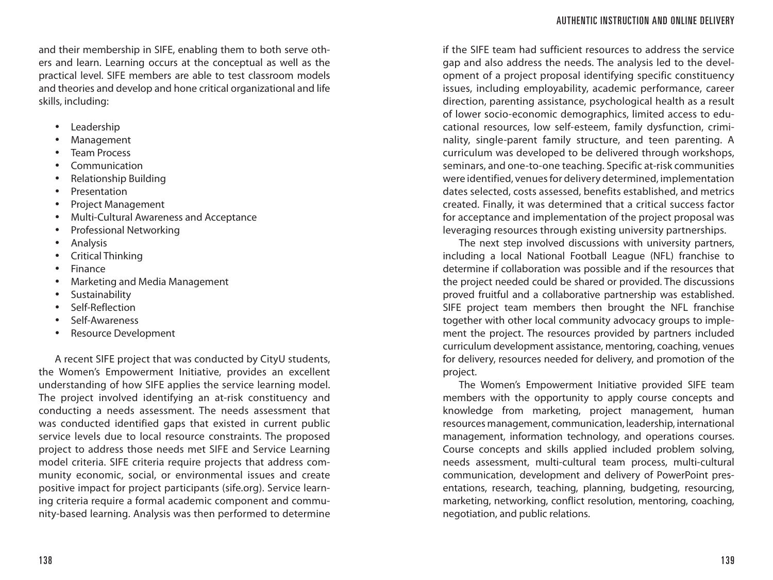and their membership in SIFE, enabling them to both serve others and learn. Learning occurs at the conceptual as well as the practical level. SIFE members are able to test classroom models and theories and develop and hone critical organizational and life skills, including:

- Leadership
- **Management**
- Team Process
- Communication
- Relationship Building
- Presentation
- Project Management
- Multi-Cultural Awareness and Acceptance
- Professional Networking
- Analysis
- Critical Thinking
- Finance
- Marketing and Media Management
- **Sustainability**
- Self-Reflection
- Self-Awareness
- Resource Development

A recent SIFE project that was conducted by CityU students, the Women's Empowerment Initiative, provides an excellent understanding of how SIFE applies the service learning model. The project involved identifying an at-risk constituency and conducting a needs assessment. The needs assessment that was conducted identified gaps that existed in current public service levels due to local resource constraints. The proposed project to address those needs met SIFE and Service Learning model criteria. SIFE criteria require projects that address community economic, social, or environmental issues and create positive impact for project participants (sife.org). Service learning criteria require a formal academic component and community-based learning. Analysis was then performed to determine

if the SIFE team had sufficient resources to address the service gap and also address the needs. The analysis led to the development of a project proposal identifying specific constituency issues, including employability, academic performance, career direction, parenting assistance, psychological health as a result of lower socio-economic demographics, limited access to educational resources, low self-esteem, family dysfunction, criminality, single-parent family structure, and teen parenting. A curriculum was developed to be delivered through workshops, seminars, and one-to-one teaching. Specific at-risk communities were identified, venues for delivery determined, implementation dates selected, costs assessed, benefits established, and metrics created. Finally, it was determined that a critical success factor for acceptance and implementation of the project proposal was leveraging resources through existing university partnerships.

The next step involved discussions with university partners, including a local National Football League (NFL) franchise to determine if collaboration was possible and if the resources that the project needed could be shared or provided. The discussions proved fruitful and a collaborative partnership was established. SIFE project team members then brought the NFL franchise together with other local community advocacy groups to implement the project. The resources provided by partners included curriculum development assistance, mentoring, coaching, venues for delivery, resources needed for delivery, and promotion of the project.

The Women's Empowerment Initiative provided SIFE team members with the opportunity to apply course concepts and knowledge from marketing, project management, human resources management, communication, leadership, international management, information technology, and operations courses. Course concepts and skills applied included problem solving, needs assessment, multi-cultural team process, multi-cultural communication, development and delivery of PowerPoint presentations, research, teaching, planning, budgeting, resourcing, marketing, networking, conflict resolution, mentoring, coaching, negotiation, and public relations.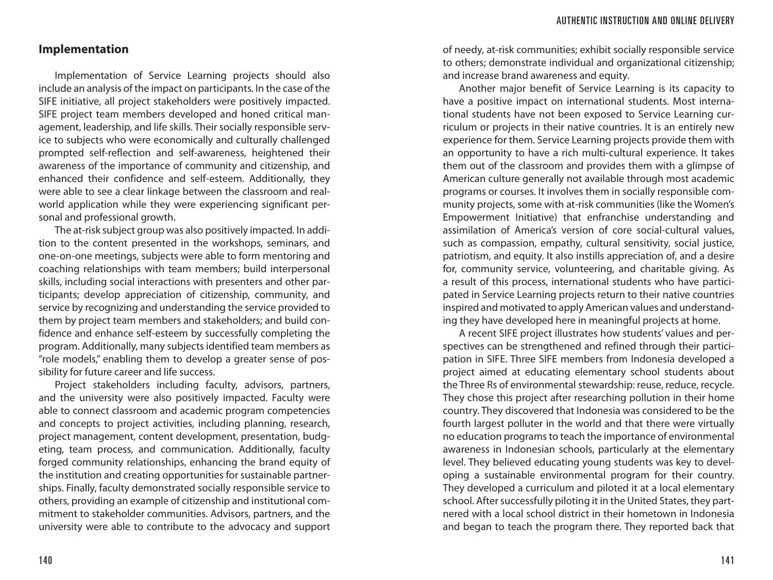#### **Implementation**

Implementation of Service Learning projects should also include an analysis of the impact on participants. In the case of the SIFE initiative, all project stakeholders were positively impacted. SIFE project team members developed and honed critical management, leadership, and life skills. Their socially responsible service to subjects who were economically and culturally challenged prompted self-reflection and self-awareness, heightened their awareness of the importance of community and citizenship, and enhanced their confidence and self-esteem. Additionally, they were able to see a clear linkage between the classroom and realworld application while they were experiencing significant personal and professional growth.

The at-risk subject group was also positively impacted. In addition to the content presented in the workshops, seminars, and one-on-one meetings, subjects were able to form mentoring and coaching relationships with team members; build interpersonal skills, including social interactions with presenters and other participants; develop appreciation of citizenship, community, and service by recognizing and understanding the service provided to them by project team members and stakeholders; and build confidence and enhance self-esteem by successfully completing the program. Additionally, many subjects identified team members as "role models," enabling them to develop a greater sense of possibility for future career and life success.

Project stakeholders including faculty, advisors, partners, and the university were also positively impacted. Faculty were able to connect classroom and academic program competencies and concepts to project activities, including planning, research, project management, content development, presentation, budgeting, team process, and communication. Additionally, faculty forged community relationships, enhancing the brand equity of the institution and creating opportunities for sustainable partnerships. Finally, faculty demonstrated socially responsible service to others, providing an example of citizenship and institutional commitment to stakeholder communities. Advisors, partners, and the university were able to contribute to the advocacy and support

of needy, at-risk communities; exhibit socially responsible service to others; demonstrate individual and organizational citizenship; and increase brand awareness and equity.

Another major benefit of Service Learning is its capacity to have a positive impact on international students. Most international students have not been exposed to Service Learning curriculum or projects in their native countries. It is an entirely new experience for them. Service Learning projects provide them with an opportunity to have a rich multi-cultural experience. It takes them out of the classroom and provides them with a glimpse of American culture generally not available through most academic programs or courses. It involves them in socially responsible community projects, some with at-risk communities (like the Women's Empowerment Initiative) that enfranchise understanding and assimilation of America's version of core social-cultural values, such as compassion, empathy, cultural sensitivity, social justice, patriotism, and equity. It also instills appreciation of, and a desire for, community service, volunteering, and charitable giving. As a result of this process, international students who have participated in Service Learning projects return to their native countries inspired and motivated to apply American values and understanding they have developed here in meaningful projects at home.

A recent SIFE project illustrates how students' values and perspectives can be strengthened and refined through their participation in SIFE. Three SIFE members from Indonesia developed a project aimed at educating elementary school students about the Three Rs of environmental stewardship: reuse, reduce, recycle. They chose this project after researching pollution in their home country. They discovered that Indonesia was considered to be the fourth largest polluter in the world and that there were virtually no education programs to teach the importance of environmental awareness in Indonesian schools, particularly at the elementary level. They believed educating young students was key to developing a sustainable environmental program for their country. They developed a curriculum and piloted it at a local elementary school. After successfully piloting it in the United States, they partnered with a local school district in their hometown in Indonesia and began to teach the program there. They reported back that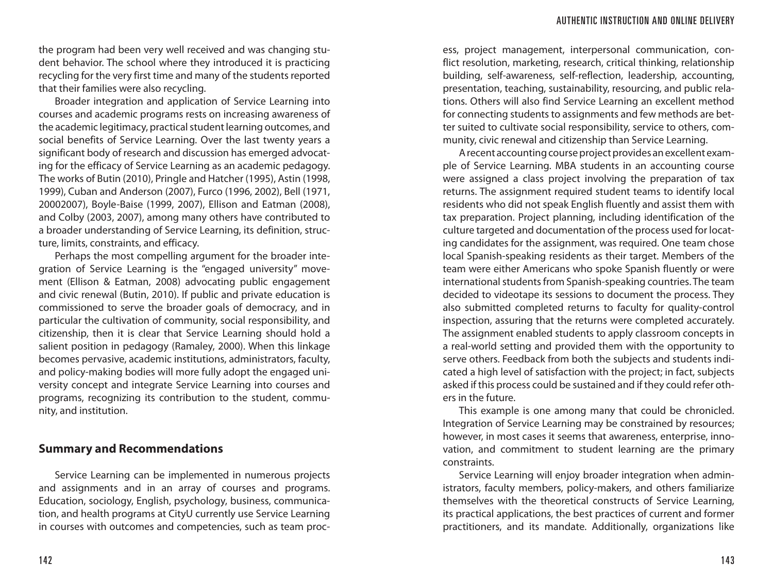the program had been very well received and was changing student behavior. The school where they introduced it is practicing recycling for the very first time and many of the students reported that their families were also recycling.

Broader integration and application of Service Learning into courses and academic programs rests on increasing awareness of the academic legitimacy, practical student learning outcomes, and social benefits of Service Learning. Over the last twenty years a significant body of research and discussion has emerged advocating for the efficacy of Service Learning as an academic pedagogy. The works of Butin (2010), Pringle and Hatcher (1995), Astin (1998, 1999), Cuban and Anderson (2007), Furco (1996, 2002), Bell (1971, 20002007), Boyle-Baise (1999, 2007), Ellison and Eatman (2008), and Colby (2003, 2007), among many others have contributed to a broader understanding of Service Learning, its definition, structure, limits, constraints, and efficacy.

Perhaps the most compelling argument for the broader integration of Service Learning is the "engaged university" movement (Ellison & Eatman, 2008) advocating public engagement and civic renewal (Butin, 2010). If public and private education is commissioned to serve the broader goals of democracy, and in particular the cultivation of community, social responsibility, and citizenship, then it is clear that Service Learning should hold a salient position in pedagogy (Ramaley, 2000). When this linkage becomes pervasive, academic institutions, administrators, faculty, and policy-making bodies will more fully adopt the engaged university concept and integrate Service Learning into courses and programs, recognizing its contribution to the student, community, and institution.

#### **Summary and Recommendations**

Service Learning can be implemented in numerous projects and assignments and in an array of courses and programs. Education, sociology, English, psychology, business, communication, and health programs at CityU currently use Service Learning in courses with outcomes and competencies, such as team proc-

ess, project management, interpersonal communication, conflict resolution, marketing, research, critical thinking, relationship building, self-awareness, self-reflection, leadership, accounting, presentation, teaching, sustainability, resourcing, and public relations. Others will also find Service Learning an excellent method for connecting students to assignments and few methods are better suited to cultivate social responsibility, service to others, community, civic renewal and citizenship than Service Learning.

A recent accounting course project provides an excellent example of Service Learning. MBA students in an accounting course were assigned a class project involving the preparation of tax returns. The assignment required student teams to identify local residents who did not speak English fluently and assist them with tax preparation. Project planning, including identification of the culture targeted and documentation of the process used for locating candidates for the assignment, was required. One team chose local Spanish-speaking residents as their target. Members of the team were either Americans who spoke Spanish fluently or were international students from Spanish-speaking countries. The team decided to videotape its sessions to document the process. They also submitted completed returns to faculty for quality-control inspection, assuring that the returns were completed accurately. The assignment enabled students to apply classroom concepts in a real-world setting and provided them with the opportunity to serve others. Feedback from both the subjects and students indicated a high level of satisfaction with the project; in fact, subjects asked if this process could be sustained and if they could refer others in the future.

This example is one among many that could be chronicled. Integration of Service Learning may be constrained by resources; however, in most cases it seems that awareness, enterprise, innovation, and commitment to student learning are the primary constraints.

Service Learning will enjoy broader integration when administrators, faculty members, policy-makers, and others familiarize themselves with the theoretical constructs of Service Learning, its practical applications, the best practices of current and former practitioners, and its mandate. Additionally, organizations like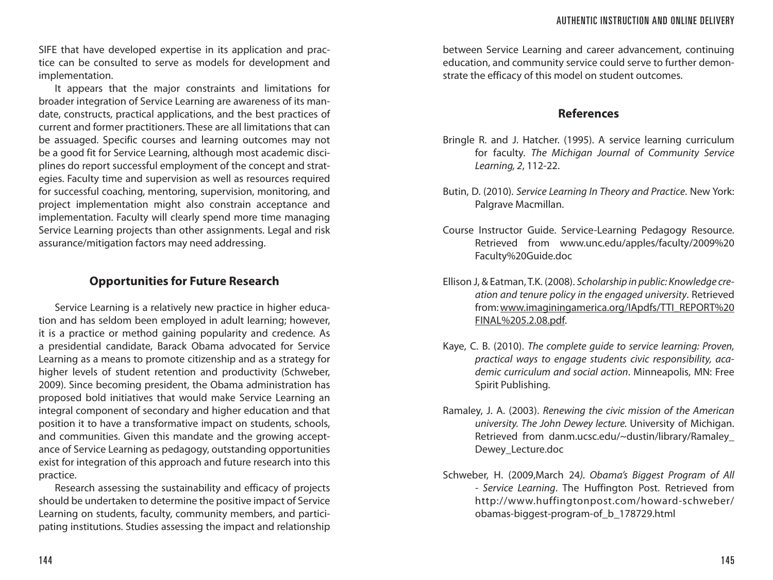SIFE that have developed expertise in its application and practice can be consulted to serve as models for development and implementation.

It appears that the major constraints and limitations for broader integration of Service Learning are awareness of its mandate, constructs, practical applications, and the best practices of current and former practitioners. These are all limitations that can be assuaged. Specific courses and learning outcomes may not be a good fit for Service Learning, although most academic disciplines do report successful employment of the concept and strategies. Faculty time and supervision as well as resources required for successful coaching, mentoring, supervision, monitoring, and project implementation might also constrain acceptance and implementation. Faculty will clearly spend more time managing Service Learning projects than other assignments. Legal and risk assurance/mitigation factors may need addressing.

### **Opportunities for Future Research**

Service Learning is a relatively new practice in higher education and has seldom been employed in adult learning; however, it is a practice or method gaining popularity and credence. As a presidential candidate, Barack Obama advocated for Service Learning as a means to promote citizenship and as a strategy for higher levels of student retention and productivity (Schweber, 2009). Since becoming president, the Obama administration has proposed bold initiatives that would make Service Learning an integral component of secondary and higher education and that position it to have a transformative impact on students, schools, and communities. Given this mandate and the growing acceptance of Service Learning as pedagogy, outstanding opportunities exist for integration of this approach and future research into this practice.

Research assessing the sustainability and efficacy of projects should be undertaken to determine the positive impact of Service Learning on students, faculty, community members, and participating institutions. Studies assessing the impact and relationship

between Service Learning and career advancement, continuing education, and community service could serve to further demonstrate the efficacy of this model on student outcomes.

### **References**

- Bringle R. and J. Hatcher. (1995). A service learning curriculum for faculty. *The Michigan Journal of Community Service Learning, 2*, 112-22.
- Butin, D. (2010). *Service Learning In Theory and Practice*. New York: Palgrave Macmillan.
- Course Instructor Guide. Service-Learning Pedagogy Resource. Retrieved from www.unc.edu/apples/faculty/2009%20 Faculty%20Guide.doc
- Ellison J, & Eatman, T.K. (2008). *Scholarship in public: Knowledge creation and tenure policy in the engaged university*. Retrieved from: www.imaginingamerica.org/IApdfs/TTI\_REPORT%20 FINAL%205.2.08.pdf.
- Kaye, C. B. (2010). *The complete guide to service learning: Proven, practical ways to engage students civic responsibility, academic curriculum and social action*. Minneapolis, MN: Free Spirit Publishing.
- Ramaley, J. A. (2003). *Renewing the civic mission of the American university. The John Dewey lecture.* University of Michigan. Retrieved from danm.ucsc.edu/~dustin/library/Ramaley\_ Dewey\_Lecture.doc
- Schweber, H. (2009,March 24*). Obama's Biggest Program of All - Service Learning*. The Huffington Post. Retrieved from http://www.huffingtonpost.com/howard-schweber/ obamas-biggest-program-of\_b\_178729.html